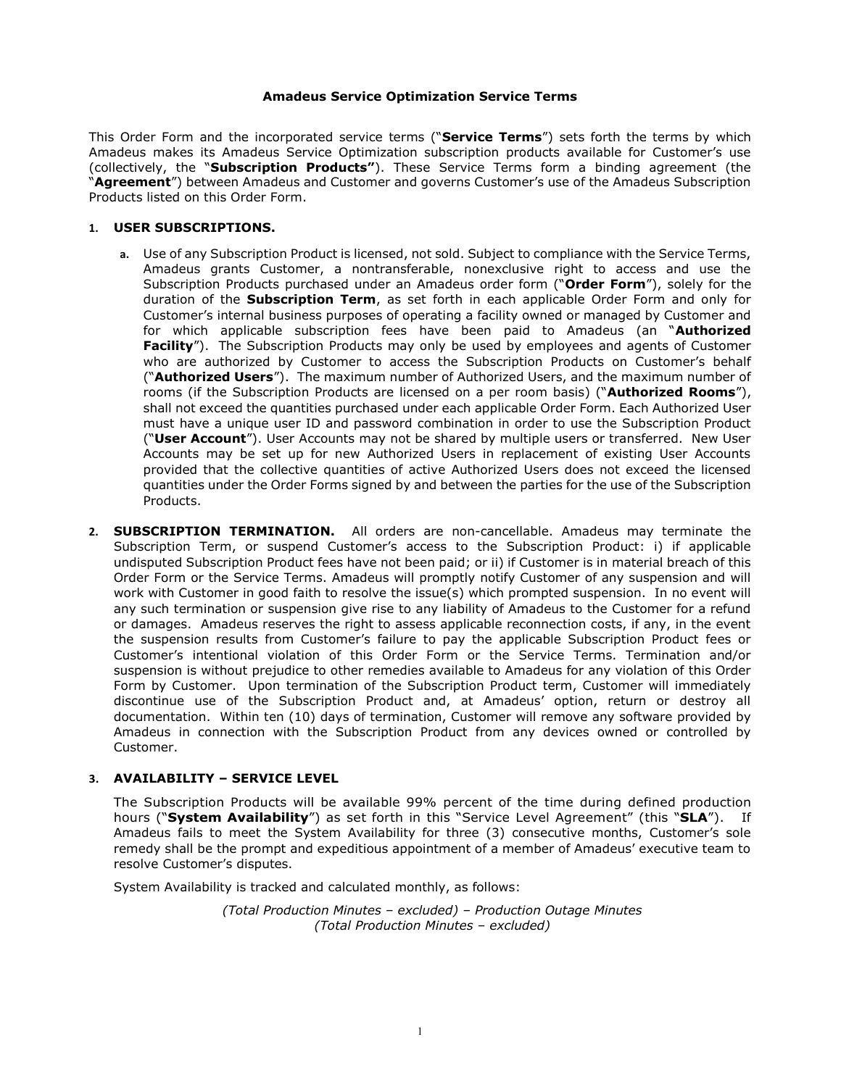#### Amadeus Service Optimization Service Terms

This Order Form and the incorporated service terms ("Service Terms") sets forth the terms by which Amadeus makes its Amadeus Service Optimization subscription products available for Customer's use (collectively, the "Subscription Products"). These Service Terms form a binding agreement (the <sup>'</sup>Agreement") between Amadeus and Customer and governs Customer's use of the Amadeus Subscription Products listed on this Order Form.

#### 1. USER SUBSCRIPTIONS.

- a. Use of any Subscription Product is licensed, not sold. Subject to compliance with the Service Terms, Amadeus grants Customer, a nontransferable, nonexclusive right to access and use the Subscription Products purchased under an Amadeus order form ("Order Form"), solely for the duration of the **Subscription Term**, as set forth in each applicable Order Form and only for Customer's internal business purposes of operating a facility owned or managed by Customer and for which applicable subscription fees have been paid to Amadeus (an "Authorized Facility"). The Subscription Products may only be used by employees and agents of Customer who are authorized by Customer to access the Subscription Products on Customer's behalf ("Authorized Users"). The maximum number of Authorized Users, and the maximum number of rooms (if the Subscription Products are licensed on a per room basis) ("Authorized Rooms"), shall not exceed the quantities purchased under each applicable Order Form. Each Authorized User must have a unique user ID and password combination in order to use the Subscription Product ("User Account"). User Accounts may not be shared by multiple users or transferred. New User Accounts may be set up for new Authorized Users in replacement of existing User Accounts provided that the collective quantities of active Authorized Users does not exceed the licensed quantities under the Order Forms signed by and between the parties for the use of the Subscription Products.
- 2. **SUBSCRIPTION TERMINATION.** All orders are non-cancellable. Amadeus may terminate the Subscription Term, or suspend Customer's access to the Subscription Product: i) if applicable undisputed Subscription Product fees have not been paid; or ii) if Customer is in material breach of this Order Form or the Service Terms. Amadeus will promptly notify Customer of any suspension and will work with Customer in good faith to resolve the issue(s) which prompted suspension. In no event will any such termination or suspension give rise to any liability of Amadeus to the Customer for a refund or damages. Amadeus reserves the right to assess applicable reconnection costs, if any, in the event the suspension results from Customer's failure to pay the applicable Subscription Product fees or Customer's intentional violation of this Order Form or the Service Terms. Termination and/or suspension is without prejudice to other remedies available to Amadeus for any violation of this Order Form by Customer. Upon termination of the Subscription Product term, Customer will immediately discontinue use of the Subscription Product and, at Amadeus' option, return or destroy all documentation. Within ten (10) days of termination, Customer will remove any software provided by Amadeus in connection with the Subscription Product from any devices owned or controlled by Customer.

## 3. AVAILABILITY – SERVICE LEVEL

The Subscription Products will be available 99% percent of the time during defined production hours ("System Availability") as set forth in this "Service Level Agreement" (this "SLA"). If Amadeus fails to meet the System Availability for three (3) consecutive months, Customer's sole remedy shall be the prompt and expeditious appointment of a member of Amadeus' executive team to resolve Customer's disputes.

System Availability is tracked and calculated monthly, as follows:

(Total Production Minutes – excluded) – Production Outage Minutes (Total Production Minutes – excluded)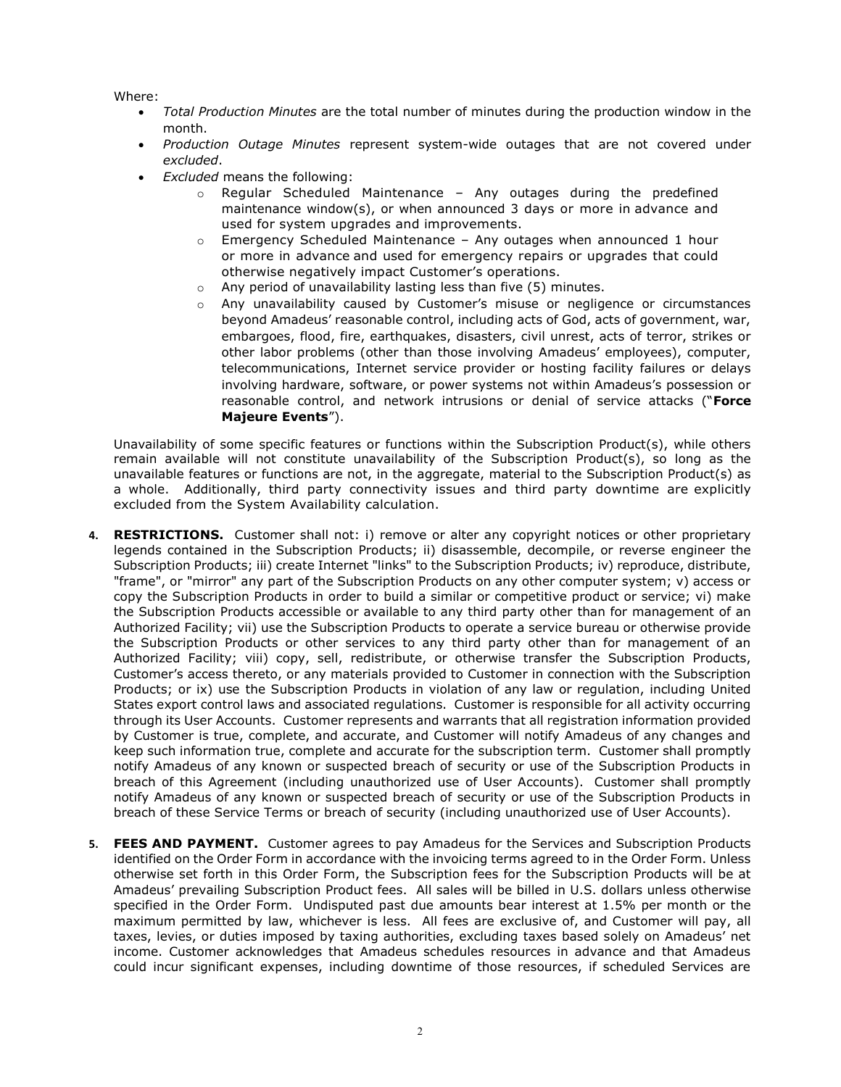Where:

- Total Production Minutes are the total number of minutes during the production window in the month.
- Production Outage Minutes represent system-wide outages that are not covered under excluded.
- Excluded means the following:
	- $\circ$  Regular Scheduled Maintenance Any outages during the predefined maintenance window(s), or when announced 3 days or more in advance and used for system upgrades and improvements.
	- o Emergency Scheduled Maintenance Any outages when announced 1 hour or more in advance and used for emergency repairs or upgrades that could otherwise negatively impact Customer's operations.
	- o Any period of unavailability lasting less than five (5) minutes.
	- o Any unavailability caused by Customer's misuse or negligence or circumstances beyond Amadeus' reasonable control, including acts of God, acts of government, war, embargoes, flood, fire, earthquakes, disasters, civil unrest, acts of terror, strikes or other labor problems (other than those involving Amadeus' employees), computer, telecommunications, Internet service provider or hosting facility failures or delays involving hardware, software, or power systems not within Amadeus's possession or reasonable control, and network intrusions or denial of service attacks ("Force Majeure Events").

Unavailability of some specific features or functions within the Subscription Product(s), while others remain available will not constitute unavailability of the Subscription Product(s), so long as the unavailable features or functions are not, in the aggregate, material to the Subscription Product(s) as a whole. Additionally, third party connectivity issues and third party downtime are explicitly excluded from the System Availability calculation.

- 4. RESTRICTIONS. Customer shall not: i) remove or alter any copyright notices or other proprietary legends contained in the Subscription Products; ii) disassemble, decompile, or reverse engineer the Subscription Products; iii) create Internet "links" to the Subscription Products; iv) reproduce, distribute, "frame", or "mirror" any part of the Subscription Products on any other computer system; v) access or copy the Subscription Products in order to build a similar or competitive product or service; vi) make the Subscription Products accessible or available to any third party other than for management of an Authorized Facility; vii) use the Subscription Products to operate a service bureau or otherwise provide the Subscription Products or other services to any third party other than for management of an Authorized Facility; viii) copy, sell, redistribute, or otherwise transfer the Subscription Products, Customer's access thereto, or any materials provided to Customer in connection with the Subscription Products; or ix) use the Subscription Products in violation of any law or regulation, including United States export control laws and associated regulations. Customer is responsible for all activity occurring through its User Accounts. Customer represents and warrants that all registration information provided by Customer is true, complete, and accurate, and Customer will notify Amadeus of any changes and keep such information true, complete and accurate for the subscription term. Customer shall promptly notify Amadeus of any known or suspected breach of security or use of the Subscription Products in breach of this Agreement (including unauthorized use of User Accounts). Customer shall promptly notify Amadeus of any known or suspected breach of security or use of the Subscription Products in breach of these Service Terms or breach of security (including unauthorized use of User Accounts).
- 5. FEES AND PAYMENT. Customer agrees to pay Amadeus for the Services and Subscription Products identified on the Order Form in accordance with the invoicing terms agreed to in the Order Form. Unless otherwise set forth in this Order Form, the Subscription fees for the Subscription Products will be at Amadeus' prevailing Subscription Product fees. All sales will be billed in U.S. dollars unless otherwise specified in the Order Form. Undisputed past due amounts bear interest at 1.5% per month or the maximum permitted by law, whichever is less. All fees are exclusive of, and Customer will pay, all taxes, levies, or duties imposed by taxing authorities, excluding taxes based solely on Amadeus' net income. Customer acknowledges that Amadeus schedules resources in advance and that Amadeus could incur significant expenses, including downtime of those resources, if scheduled Services are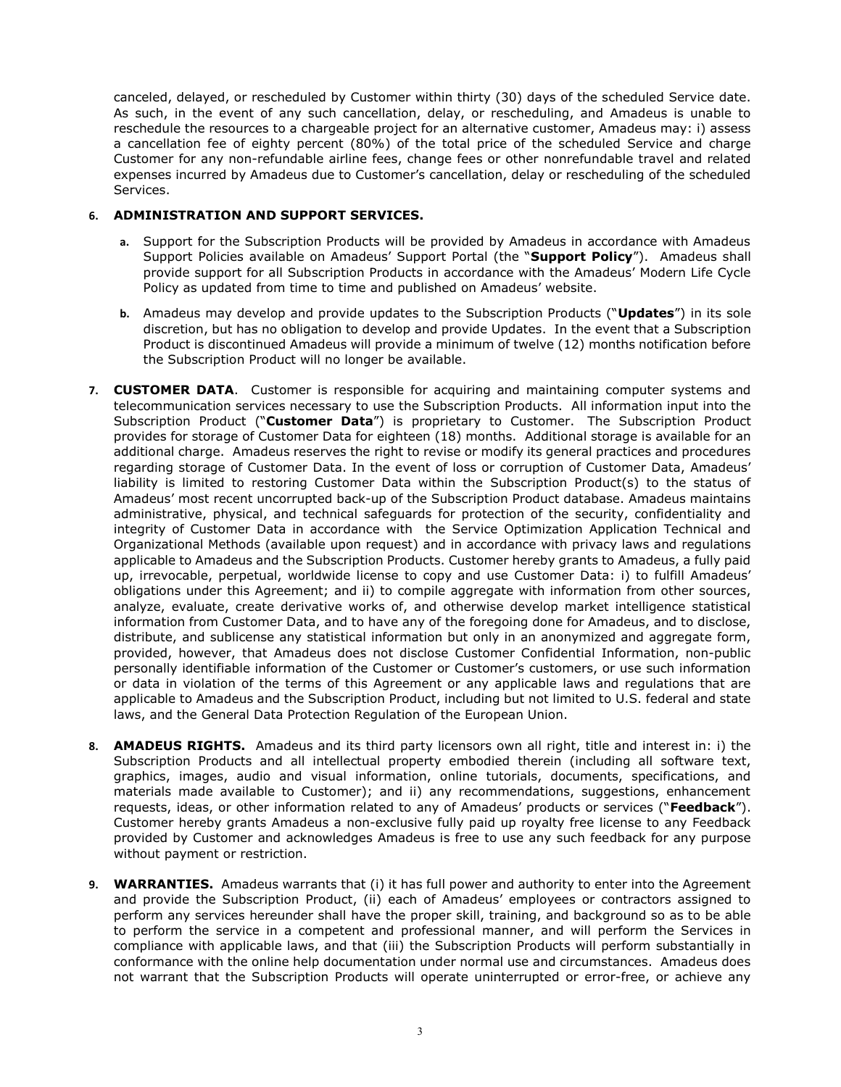canceled, delayed, or rescheduled by Customer within thirty (30) days of the scheduled Service date. As such, in the event of any such cancellation, delay, or rescheduling, and Amadeus is unable to reschedule the resources to a chargeable project for an alternative customer, Amadeus may: i) assess a cancellation fee of eighty percent (80%) of the total price of the scheduled Service and charge Customer for any non-refundable airline fees, change fees or other nonrefundable travel and related expenses incurred by Amadeus due to Customer's cancellation, delay or rescheduling of the scheduled Services.

# 6. ADMINISTRATION AND SUPPORT SERVICES.

- a. Support for the Subscription Products will be provided by Amadeus in accordance with Amadeus Support Policies available on Amadeus' Support Portal (the "Support Policy"). Amadeus shall provide support for all Subscription Products in accordance with the Amadeus' Modern Life Cycle Policy as updated from time to time and published on Amadeus' website.
- b. Amadeus may develop and provide updates to the Subscription Products ("Updates") in its sole discretion, but has no obligation to develop and provide Updates. In the event that a Subscription Product is discontinued Amadeus will provide a minimum of twelve (12) months notification before the Subscription Product will no longer be available.
- 7. **CUSTOMER DATA.** Customer is responsible for acquiring and maintaining computer systems and telecommunication services necessary to use the Subscription Products. All information input into the Subscription Product ("Customer Data") is proprietary to Customer. The Subscription Product provides for storage of Customer Data for eighteen (18) months. Additional storage is available for an additional charge. Amadeus reserves the right to revise or modify its general practices and procedures regarding storage of Customer Data. In the event of loss or corruption of Customer Data, Amadeus' liability is limited to restoring Customer Data within the Subscription Product(s) to the status of Amadeus' most recent uncorrupted back-up of the Subscription Product database. Amadeus maintains administrative, physical, and technical safeguards for protection of the security, confidentiality and integrity of Customer Data in accordance with the Service Optimization Application Technical and Organizational Methods (available upon request) and in accordance with privacy laws and regulations applicable to Amadeus and the Subscription Products. Customer hereby grants to Amadeus, a fully paid up, irrevocable, perpetual, worldwide license to copy and use Customer Data: i) to fulfill Amadeus' obligations under this Agreement; and ii) to compile aggregate with information from other sources, analyze, evaluate, create derivative works of, and otherwise develop market intelligence statistical information from Customer Data, and to have any of the foregoing done for Amadeus, and to disclose, distribute, and sublicense any statistical information but only in an anonymized and aggregate form, provided, however, that Amadeus does not disclose Customer Confidential Information, non-public personally identifiable information of the Customer or Customer's customers, or use such information or data in violation of the terms of this Agreement or any applicable laws and regulations that are applicable to Amadeus and the Subscription Product, including but not limited to U.S. federal and state laws, and the General Data Protection Regulation of the European Union.
- 8. **AMADEUS RIGHTS.** Amadeus and its third party licensors own all right, title and interest in: i) the Subscription Products and all intellectual property embodied therein (including all software text, graphics, images, audio and visual information, online tutorials, documents, specifications, and materials made available to Customer); and ii) any recommendations, suggestions, enhancement requests, ideas, or other information related to any of Amadeus' products or services ("Feedback"). Customer hereby grants Amadeus a non-exclusive fully paid up royalty free license to any Feedback provided by Customer and acknowledges Amadeus is free to use any such feedback for any purpose without payment or restriction.
- 9. WARRANTIES. Amadeus warrants that (i) it has full power and authority to enter into the Agreement and provide the Subscription Product, (ii) each of Amadeus' employees or contractors assigned to perform any services hereunder shall have the proper skill, training, and background so as to be able to perform the service in a competent and professional manner, and will perform the Services in compliance with applicable laws, and that (iii) the Subscription Products will perform substantially in conformance with the online help documentation under normal use and circumstances. Amadeus does not warrant that the Subscription Products will operate uninterrupted or error-free, or achieve any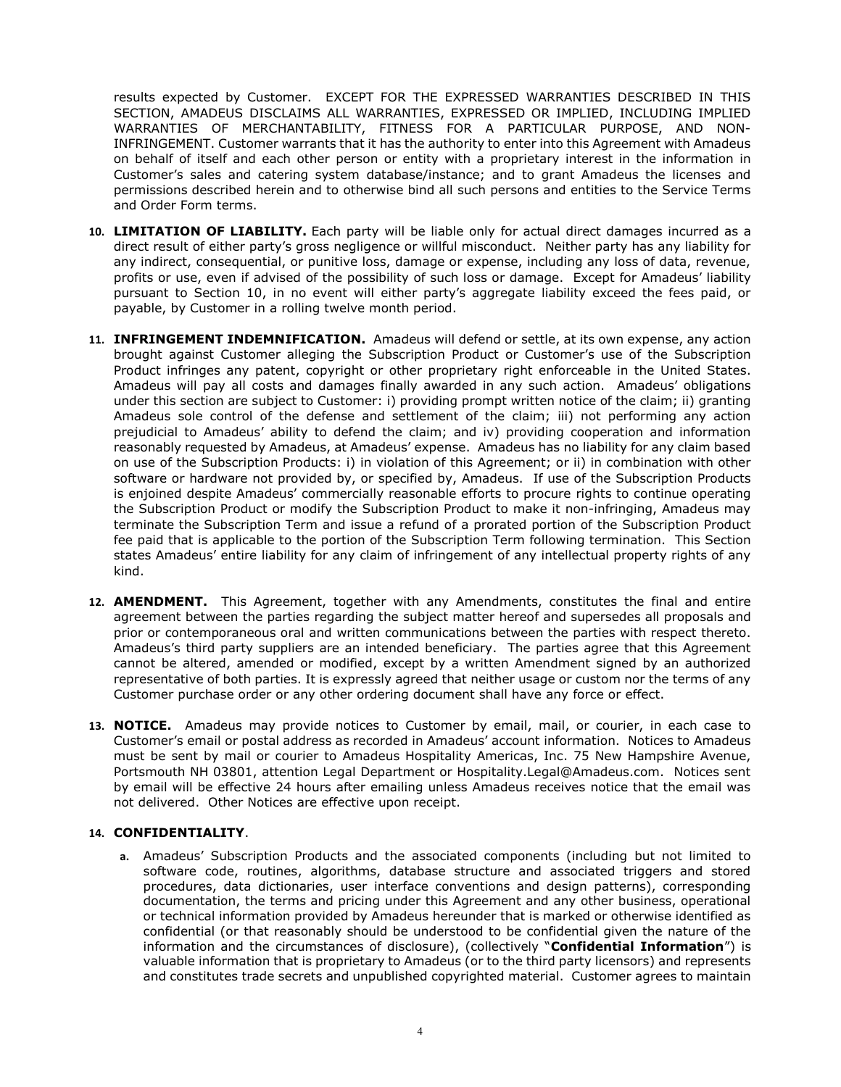results expected by Customer. EXCEPT FOR THE EXPRESSED WARRANTIES DESCRIBED IN THIS SECTION, AMADEUS DISCLAIMS ALL WARRANTIES, EXPRESSED OR IMPLIED, INCLUDING IMPLIED WARRANTIES OF MERCHANTABILITY, FITNESS FOR A PARTICULAR PURPOSE, AND NON-INFRINGEMENT. Customer warrants that it has the authority to enter into this Agreement with Amadeus on behalf of itself and each other person or entity with a proprietary interest in the information in Customer's sales and catering system database/instance; and to grant Amadeus the licenses and permissions described herein and to otherwise bind all such persons and entities to the Service Terms and Order Form terms.

- 10. LIMITATION OF LIABILITY. Each party will be liable only for actual direct damages incurred as a direct result of either party's gross negligence or willful misconduct. Neither party has any liability for any indirect, consequential, or punitive loss, damage or expense, including any loss of data, revenue, profits or use, even if advised of the possibility of such loss or damage. Except for Amadeus' liability pursuant to Section 10, in no event will either party's aggregate liability exceed the fees paid, or payable, by Customer in a rolling twelve month period.
- 11. **INFRINGEMENT INDEMNIFICATION.** Amadeus will defend or settle, at its own expense, any action brought against Customer alleging the Subscription Product or Customer's use of the Subscription Product infringes any patent, copyright or other proprietary right enforceable in the United States. Amadeus will pay all costs and damages finally awarded in any such action. Amadeus' obligations under this section are subject to Customer: i) providing prompt written notice of the claim; ii) granting Amadeus sole control of the defense and settlement of the claim; iii) not performing any action prejudicial to Amadeus' ability to defend the claim; and iv) providing cooperation and information reasonably requested by Amadeus, at Amadeus' expense. Amadeus has no liability for any claim based on use of the Subscription Products: i) in violation of this Agreement; or ii) in combination with other software or hardware not provided by, or specified by, Amadeus. If use of the Subscription Products is enjoined despite Amadeus' commercially reasonable efforts to procure rights to continue operating the Subscription Product or modify the Subscription Product to make it non-infringing, Amadeus may terminate the Subscription Term and issue a refund of a prorated portion of the Subscription Product fee paid that is applicable to the portion of the Subscription Term following termination. This Section states Amadeus' entire liability for any claim of infringement of any intellectual property rights of any kind.
- 12. **AMENDMENT.** This Agreement, together with any Amendments, constitutes the final and entire agreement between the parties regarding the subject matter hereof and supersedes all proposals and prior or contemporaneous oral and written communications between the parties with respect thereto. Amadeus's third party suppliers are an intended beneficiary. The parties agree that this Agreement cannot be altered, amended or modified, except by a written Amendment signed by an authorized representative of both parties. It is expressly agreed that neither usage or custom nor the terms of any Customer purchase order or any other ordering document shall have any force or effect.
- 13. NOTICE. Amadeus may provide notices to Customer by email, mail, or courier, in each case to Customer's email or postal address as recorded in Amadeus' account information. Notices to Amadeus must be sent by mail or courier to Amadeus Hospitality Americas, Inc. 75 New Hampshire Avenue, Portsmouth NH 03801, attention Legal Department or Hospitality.Legal@Amadeus.com. Notices sent by email will be effective 24 hours after emailing unless Amadeus receives notice that the email was not delivered. Other Notices are effective upon receipt.

## 14. CONFIDENTIALITY.

a. Amadeus' Subscription Products and the associated components (including but not limited to software code, routines, algorithms, database structure and associated triggers and stored procedures, data dictionaries, user interface conventions and design patterns), corresponding documentation, the terms and pricing under this Agreement and any other business, operational or technical information provided by Amadeus hereunder that is marked or otherwise identified as confidential (or that reasonably should be understood to be confidential given the nature of the information and the circumstances of disclosure), (collectively "Confidential Information") is valuable information that is proprietary to Amadeus (or to the third party licensors) and represents and constitutes trade secrets and unpublished copyrighted material. Customer agrees to maintain